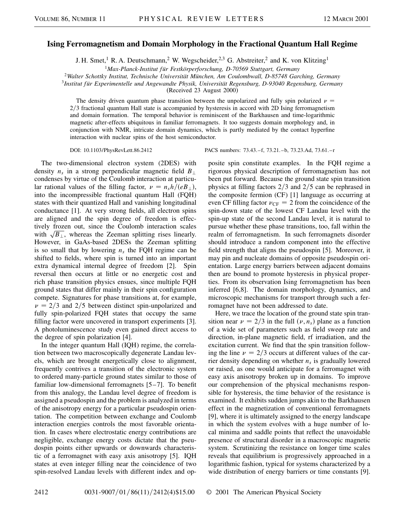## **Ising Ferromagnetism and Domain Morphology in the Fractional Quantum Hall Regime**

J. H. Smet,<sup>1</sup> R. A. Deutschmann,<sup>2</sup> W. Wegscheider,<sup>2,3</sup> G. Abstreiter,<sup>2</sup> and K. von Klitzing<sup>1</sup>

<sup>1</sup>*Max-Planck-Institut für Festkörperforschung, D-70569 Stuttgart, Germany*

<sup>2</sup>*Walter Schottky Institut, Technische Universität München, Am Coulombwall, D-85748 Garching, Germany*

<sup>3</sup>*Institut für Experimentelle und Angewandte Physik, Universität Regensburg, D-93040 Regensburg, Germany*

(Received 23 August 2000)

The density driven quantum phase transition between the unpolarized and fully spin polarized  $\nu =$ 23 fractional quantum Hall state is accompanied by hysteresis in accord with 2D Ising ferromagnetism and domain formation. The temporal behavior is reminiscent of the Barkhausen and time-logarithmic magnetic after-effects ubiquitous in familiar ferromagnets. It too suggests domain morphology and, in conjunction with NMR, intricate domain dynamics, which is partly mediated by the contact hyperfine interaction with nuclear spins of the host semiconductor.

The two-dimensional electron system (2DES) with density  $n_s$  in a strong perpendicular magnetic field  $B_{\perp}$ condenses by virtue of the Coulomb interaction at particular rational values of the filling factor,  $\nu = n_s h / (eB_\perp)$ , into the incompressible fractional quantum Hall (FQH) states with their quantized Hall and vanishing longitudinal conductance [1]. At very strong fields, all electron spins are aligned and the spin degree of freedom is effectively frozen out, since the Coulomb interaction scales tively frozen out, since the Coulomb interaction scales<br>with  $\sqrt{B_{\perp}}$ , whereas the Zeeman splitting rises linearly. However, in GaAs-based 2DESs the Zeeman splitting is so small that by lowering  $n<sub>s</sub>$  the FQH regime can be shifted to fields, where spin is turned into an important extra dynamical internal degree of freedom [2]. Spin reversal then occurs at little or no energetic cost and rich phase transition physics ensues, since multiple FQH ground states that differ mainly in their spin configuration compete. Signatures for phase transitions at, for example,  $\nu = 2/3$  and 2/5 between distinct spin-unpolarized and fully spin-polarized FQH states that occupy the same filling factor were uncovered in transport experiments [3]. A photoluminescence study even gained direct access to the degree of spin polarization [4].

In the integer quantum Hall (IQH) regime, the correlation between two macroscopically degenerate Landau levels, which are brought energetically close to alignment, frequently contrives a transition of the electronic system to ordered many-particle ground states similar to those of familiar low-dimensional ferromagnets [5–7]. To benefit from this analogy, the Landau level degree of freedom is assigned a pseudospin and the problem is analyzed in terms of the anisotropy energy for a particular pseudospin orientation. The competition between exchange and Coulomb interaction energies controls the most favorable orientation. In cases where electrostatic energy contributions are negligible, exchange energy costs dictate that the pseudospin points either upwards or downwards characteristic of a ferromagnet with easy axis anisotropy [5]. IQH states at even integer filling near the coincidence of two spin-resolved Landau levels with different index and op-

DOI: 10.1103/PhysRevLett.86.2412 PACS numbers: 73.43.–f, 73.21.–b, 73.23.Ad, 73.61.–r

posite spin constitute examples. In the FQH regime a rigorous physical description of ferromagnetism has not been put forward. Because the ground state spin transition physics at filling factors  $2/3$  and  $2/5$  can be rephrased in the composite fermion (CF) [1] language as occurring at even CF filling factor  $v_{CF} = 2$  from the coincidence of the spin-down state of the lowest CF Landau level with the spin-up state of the second Landau level, it is natural to pursue whether these phase transitions, too, fall within the realm of ferromagnetism. In such ferromagnets disorder should introduce a random component into the effective field strength that aligns the pseudospin [5]. Moreover, it may pin and nucleate domains of opposite pseudospin orientation. Large energy barriers between adjacent domains then are bound to promote hysteresis in physical properties. From its observation Ising ferromagnetism has been inferred [6,8]. The domain morphology, dynamics, and microscopic mechanisms for transport through such a ferromagnet have not been addressed to date.

Here, we trace the location of the ground state spin transition near  $\nu = 2/3$  in the full  $(\nu, n_s)$  plane as a function of a wide set of parameters such as field sweep rate and direction, in-plane magnetic field, rf irradiation, and the excitation current. We find that the spin transition following the line  $\nu = 2/3$  occurs at different values of the carrier density depending on whether *ns* is gradually lowered or raised, as one would anticipate for a ferromagnet with easy axis anisotropy broken up in domains. To improve our comprehension of the physical mechanisms responsible for hysteresis, the time behavior of the resistance is examined. It exhibits sudden jumps akin to the Barkhausen effect in the magnetization of conventional ferromagnets [9], where it is ultimately assigned to the energy landscape in which the system evolves with a huge number of local minima and saddle points that reflect the unavoidable presence of structural disorder in a macroscopic magnetic system. Scrutinizing the resistance on longer time scales reveals that equilibrium is progressively approached in a logarithmic fashion, typical for systems characterized by a wide distribution of energy barriers or time constants [9].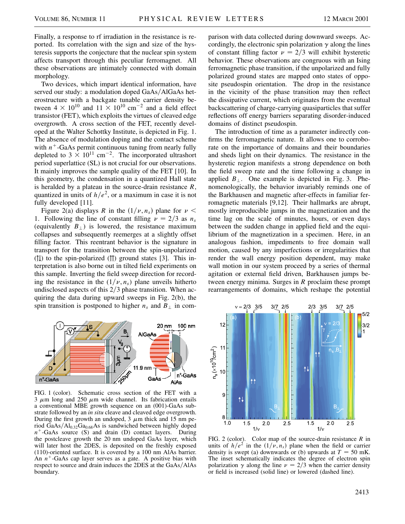Finally, a response to rf irradiation in the resistance is reported. Its correlation with the sign and size of the hysteresis supports the conjecture that the nuclear spin system affects transport through this peculiar ferromagnet. All these observations are intimately connected with domain morphology.

Two devices, which impart identical information, have served our study: a modulation doped GaAs/AlGaAs heterostructure with a backgate tunable carrier density between  $4 \times 10^{10}$  and  $11 \times 10^{10}$  cm<sup>-2</sup> and a field effect transistor (FET), which exploits the virtues of cleaved edge overgrowth. A cross section of the FET, recently developed at the Walter Schottky Institute, is depicted in Fig. 1. The absence of modulation doping and the contact scheme with  $n^+$ -GaAs permit continuous tuning from nearly fully depleted to  $3 \times 10^{11}$  cm<sup>-2</sup>. The incorporated ultrashort period superlattice (SL) is not crucial for our observations. It mainly improves the sample quality of the FET [10]. In this geometry, the condensation in a quantized Hall state is heralded by a plateau in the source-drain resistance *R*, quantized in units of  $h/e^2$ , or a maximum in case it is not fully developed [11].

Figure 2(a) displays *R* in the  $(1/\nu, n_s)$  plane for  $\nu$  < 1. Following the line of constant filling  $\nu = 2/3$  as  $n_s$ (equivalently  $B_{\perp}$ ) is lowered, the resistance maximum collapses and subsequently reemerges at a slightly offset filling factor. This reentrant behavior is the signature in transport for the transition between the spin-unpolarized  $(|1\rangle)$  to the spin-polarized  $(|1\rangle)$  ground states [3]. This interpretation is also borne out in tilted field experiments on this sample. Inverting the field sweep direction for recording the resistance in the  $(1/\nu, n_s)$  plane unveils hitherto undisclosed aspects of this  $2/3$  phase transition. When acquiring the data during upward sweeps in Fig. 2(b), the spin transition is postponed to higher  $n_s$  and  $B_{\perp}$  in com-



FIG. 1 (color). Schematic cross section of the FET with a  $3 \mu$ m long and 250  $\mu$ m wide channel. Its fabrication entails a conventional MBE growth sequence on an (001)-GaAs substrate followed by an *in situ* cleave and cleaved edge overgrowth. During the first growth an undoped,  $3 \mu m$  thick and 15 nm period GaAs/ $Al<sub>0.32</sub>Ga<sub>0.68</sub>As$  is sandwiched between highly doped  $n^+$ -GaAs source (S) and drain (D) contact layers. During the postcleave growth the 20 nm undoped GaAs layer, which will later host the 2DES, is deposited on the freshly exposed (110)-oriented surface. It is covered by a 100 nm AlAs barrier. An  $n^+$ -GaAs cap layer serves as a gate. A positive bias with respect to source and drain induces the 2DES at the GaAs/AlAs boundary.

parison with data collected during downward sweeps. Accordingly, the electronic spin polarization  $\gamma$  along the lines of constant filling factor  $\nu = 2/3$  will exhibit hysteretic behavior. These observations are congruous with an Ising ferromagnetic phase transition, if the unpolarized and fully polarized ground states are mapped onto states of opposite pseudospin orientation. The drop in the resistance in the vicinity of the phase transition may then reflect the dissipative current, which originates from the eventual backscattering of charge-carrying quasiparticles that suffer reflections off energy barriers separating disorder-induced domains of distinct pseudospin.

The introduction of time as a parameter indirectly confirms the ferromagnetic nature. It allows one to corroborate on the importance of domains and their boundaries and sheds light on their dynamics. The resistance in the hysteretic region manifests a strong dependence on both the field sweep rate and the time following a change in applied  $B_{\perp}$ . One example is depicted in Fig. 3. Phenomenologically, the behavior invariably reminds one of the Barkhausen and magnetic after-effects in familiar ferromagnetic materials [9,12]. Their hallmarks are abrupt, mostly irreproducible jumps in the magnetization and the time lag on the scale of minutes, hours, or even days between the sudden change in applied field and the equilibrium of the magnetization in a specimen. Here, in an analogous fashion, impediments to free domain wall motion, caused by any imperfections or irregularities that render the wall energy position dependent, may make wall motion in our system proceed by a series of thermal agitation or external field driven, Barkhausen jumps between energy minima. Surges in *R* proclaim these prompt rearrangements of domains, which reshape the potential



FIG. 2 (color). Color map of the source-drain resistance *R* in units of  $h/e^2$  in the  $(1/\nu, n_s)$  plane when the field or carrier density is swept (a) downwards or (b) upwards at  $T = 50$  mK. The inset schematically indicates the degree of electron spin polarization  $\gamma$  along the line  $\nu = 2/3$  when the carrier density or field is increased (solid line) or lowered (dashed line).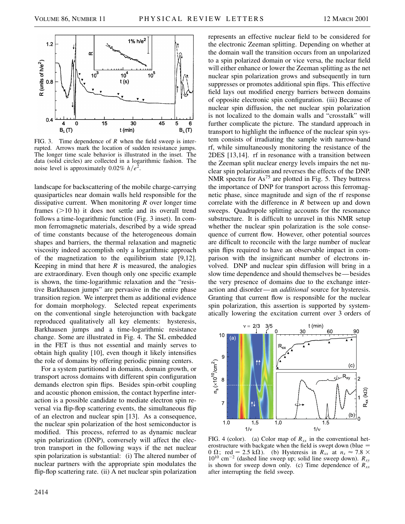

FIG. 3. Time dependence of *R* when the field sweep is interrupted. Arrows mark the location of sudden resistance jumps. The longer time scale behavior is illustrated in the inset. The data (solid circles) are collected in a logarithmic fashion. The noise level is approximately  $0.02\%$   $h/e^{2}$ .

landscape for backscattering of the mobile charge-carrying quasiparticles near domain walls held responsible for the dissipative current. When monitoring *R* over longer time frames  $(>10$  h) it does not settle and its overall trend follows a time-logarithmic function (Fig. 3 inset). In common ferromagnetic materials, described by a wide spread of time constants because of the heterogeneous domain shapes and barriers, the thermal relaxation and magnetic viscosity indeed accomplish only a logarithmic approach of the magnetization to the equilibrium state [9,12]. Keeping in mind that here  $R$  is measured, the analogies are extraordinary. Even though only one specific example is shown, the time-logarithmic relaxation and the "resistive Barkhausen jumps" are pervasive in the entire phase transition region. We interpret them as additional evidence for domain morphology. Selected repeat experiments on the conventional single heterojunction with backgate reproduced qualitatively all key elements: hysteresis, Barkhausen jumps and a time-logarithmic resistance change. Some are illustrated in Fig. 4. The SL embedded in the FET is thus not essential and mainly serves to obtain high quality [10], even though it likely intensifies the role of domains by offering periodic pinning centers.

For a system partitioned in domains, domain growth, or transport across domains with different spin configuration demands electron spin flips. Besides spin-orbit coupling and acoustic phonon emission, the contact hyperfine interaction is a possible candidate to mediate electron spin reversal via flip-flop scattering events, the simultaneous flip of an electron and nuclear spin [13]. As a consequence, the nuclear spin polarization of the host semiconductor is modified. This process, referred to as dynamic nuclear spin polarization (DNP), conversely will affect the electron transport in the following ways if the net nuclear spin polarization is substantial: (i) The altered number of nuclear partners with the appropriate spin modulates the flip-flop scattering rate. (ii) A net nuclear spin polarization represents an effective nuclear field to be considered for the electronic Zeeman splitting. Depending on whether at the domain wall the transition occurs from an unpolarized to a spin polarized domain or vice versa, the nuclear field will either enhance or lower the Zeeman splitting as the net nuclear spin polarization grows and subsequently in turn suppresses or promotes additional spin flips. This effective field lays out modified energy barriers between domains of opposite electronic spin configuration. (iii) Because of nuclear spin diffusion, the net nuclear spin polarization is not localized to the domain walls and "crosstalk" will further complicate the picture. The standard approach in transport to highlight the influence of the nuclear spin system consists of irradiating the sample with narrow-band rf, while simultaneously monitoring the resistance of the 2DES [13,14]. rf in resonance with a transition between the Zeeman split nuclear energy levels impairs the net nuclear spin polarization and reverses the effects of the DNP. NMR spectra for  $As^{75}$  are plotted in Fig. 5. They buttress the importance of DNP for transport across this ferromagnetic phase, since magnitude and sign of the rf response correlate with the difference in *R* between up and down sweeps. Quadrupole splitting accounts for the resonance substructure. It is difficult to unravel in this NMR setup whether the nuclear spin polarization is the sole consequence of current flow. However, other potential sources are difficult to reconcile with the large number of nuclear spin flips required to have an observable impact in comparison with the insignificant number of electrons involved. DNP and nuclear spin diffusion will bring in a slow time dependence and should themselves be—besides the very presence of domains due to the exchange interaction and disorder—an *additional* source for hysteresis. Granting that current flow is responsible for the nuclear spin polarization, this assertion is supported by systematically lowering the excitation current over 3 orders of



FIG. 4 (color). (a) Color map of  $R_{xx}$  in the conventional heterostructure with backgate when the field is swept down (blue 0  $\Omega$ ; red = 2.5 k $\Omega$ ). (b) Hysteresis in  $R_{xx}$  at  $n_s \approx 7.8 \times$  $10^{10}$  cm<sup>-2</sup> (dashed line sweep up; solid line sweep down).  $R_{xy}$ is shown for sweep down only. (c) Time dependence of  $R_{xx}$ after interrupting the field sweep.